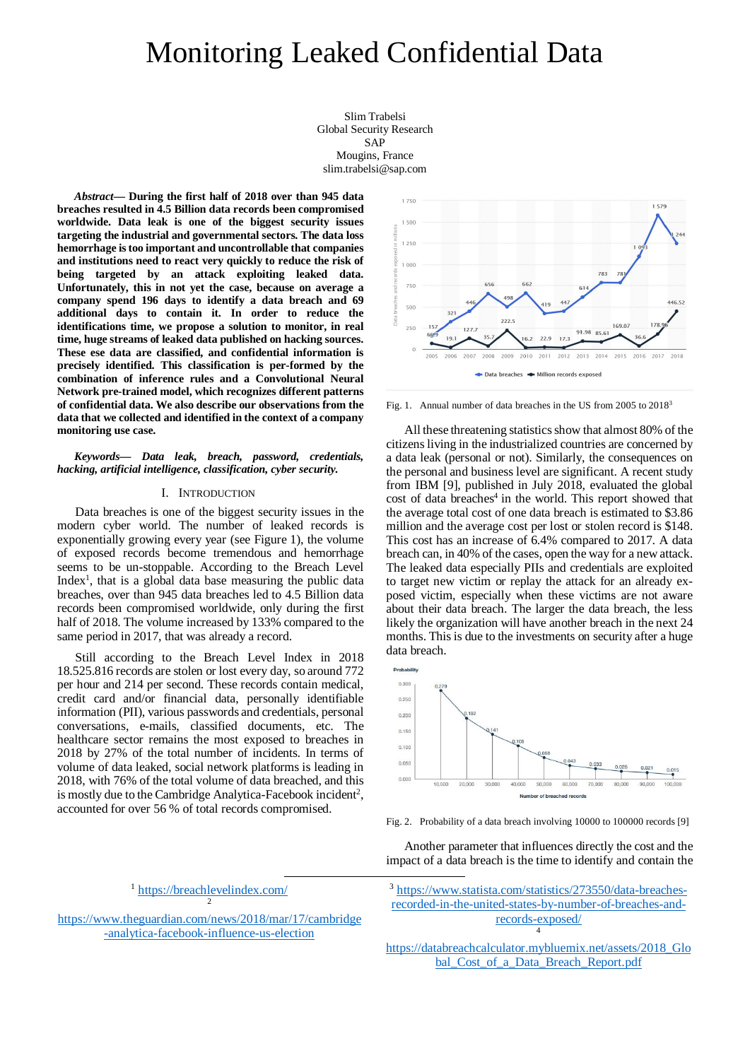# Monitoring Leaked Confidential Data

Slim Trabelsi Global Security Research SAP Mougins, France slim.trabelsi@sap.com

*Abstract***— During the first half of 2018 over than 945 data breaches resulted in 4.5 Billion data records been compromised worldwide. Data leak is one of the biggest security issues targeting the industrial and governmental sectors. The data loss hemorrhage is too important and uncontrollable that companies and institutions need to react very quickly to reduce the risk of being targeted by an attack exploiting leaked data. Unfortunately, this in not yet the case, because on average a company spend 196 days to identify a data breach and 69 additional days to contain it. In order to reduce the identifications time, we propose a solution to monitor, in real time, huge streams of leaked data published on hacking sources. These ese data are classified, and confidential information is precisely identified. This classification is per-formed by the combination of inference rules and a Convolutional Neural Network pre-trained model, which recognizes different patterns of confidential data. We also describe our observations from the data that we collected and identified in the context of a company monitoring use case.**

*Keywords— Data leak, breach, password, credentials, hacking, artificial intelligence, classification, cyber security.*

### I. INTRODUCTION

Data breaches is one of the biggest security issues in the modern cyber world. The number of leaked records is exponentially growing every year (see Figure 1), the volume of exposed records become tremendous and hemorrhage seems to be un-stoppable. According to the Breach Level Index<sup>[1](#page-0-0)</sup>, that is a global data base measuring the public data breaches, over than 945 data breaches led to 4.5 Billion data records been compromised worldwide, only during the first half of 2018. The volume increased by 133% compared to the same period in 2017, that was already a record.

Still according to the Breach Level Index in 2018 18.525.816 records are stolen or lost every day, so around 772 per hour and 214 per second. These records contain medical, credit card and/or financial data, personally identifiable information (PII), various passwords and credentials, personal conversations, e-mails, classified documents, etc. The healthcare sector remains the most exposed to breaches in 2018 by 27% of the total number of incidents. In terms of volume of data leaked, social network platforms is leading in 2018, with 76% of the total volume of data breached, and this is mostly due to the Cambridge Analytica-Facebook incident<sup>[2](#page-0-1)</sup>, accounted for over 56 % of total records compromised.

> <sup>1</sup> <https://breachlevelindex.com/> 2

<span id="page-0-1"></span><span id="page-0-0"></span>[https://www.theguardian.com/news/2018/mar/17/cambridge](https://www.theguardian.com/news/2018/mar/17/cambridge-analytica-facebook-influence-us-election) -analytica-facebook-influence-us-election



Fig. 1. Annual number of data breaches in the US from 2005 to 2018[3](#page-0-2)

All these threatening statistics show that almost 80% of the citizens living in the industrialized countries are concerned by a data leak (personal or not). Similarly, the consequences on the personal and business level are significant. A recent study from IBM [9], published in July 2018, evaluated the global cost of data breaches<sup>[4](#page-0-3)</sup> in the world. This report showed that the average total cost of one data breach is estimated to \$3.86 million and the average cost per lost or stolen record is \$148. This cost has an increase of 6.4% compared to 2017. A data breach can, in 40% of the cases, open the way for a new attack. The leaked data especially PIIs and credentials are exploited to target new victim or replay the attack for an already exposed victim, especially when these victims are not aware about their data breach. The larger the data breach, the less likely the organization will have another breach in the next 24 months. This is due to the investments on security after a huge data breach.



Fig. 2. Probability of a data breach involving 10000 to 100000 records [9]

Another parameter that influences directly the cost and the impact of a data breach is the time to identify and contain the

<span id="page-0-2"></span>

| <sup>3</sup> https://www.statista.com/statistics/273550/data-breaches- |
|------------------------------------------------------------------------|
| recorded-in-the-united-states-by-number-of-breaches-and-               |
| records-exposed/                                                       |
|                                                                        |

<span id="page-0-3"></span>[https://databreachcalculator.mybluemix.net/assets/2018\\_Glo](https://databreachcalculator.mybluemix.net/assets/2018_Global_Cost_of_a_Data_Breach_Report.pdf) bal\_Cost\_of\_a\_Data\_Breach\_Report.pdf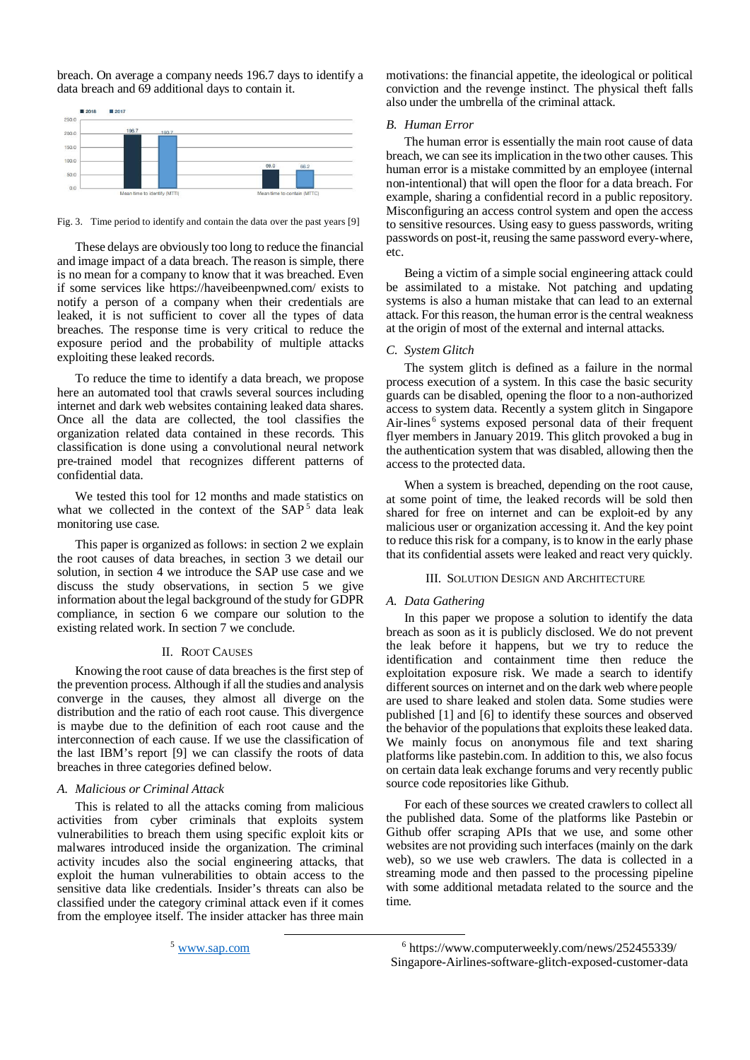breach. On average a company needs 196.7 days to identify a data breach and 69 additional days to contain it.



Fig. 3. Time period to identify and contain the data over the past years [9]

These delays are obviously too long to reduce the financial and image impact of a data breach. The reason is simple, there is no mean for a company to know that it was breached. Even if some services like https://haveibeenpwned.com/ exists to notify a person of a company when their credentials are leaked, it is not sufficient to cover all the types of data breaches. The response time is very critical to reduce the exposure period and the probability of multiple attacks exploiting these leaked records.

To reduce the time to identify a data breach, we propose here an automated tool that crawls several sources including internet and dark web websites containing leaked data shares. Once all the data are collected, the tool classifies the organization related data contained in these records. This classification is done using a convolutional neural network pre-trained model that recognizes different patterns of confidential data.

We tested this tool for 12 months and made statistics on what we collected in the context of the  $SAP<sup>5</sup>$  $SAP<sup>5</sup>$  $SAP<sup>5</sup>$  data leak monitoring use case.

This paper is organized as follows: in section 2 we explain the root causes of data breaches, in section 3 we detail our solution, in section 4 we introduce the SAP use case and we discuss the study observations, in section 5 we give information about the legal background of the study for GDPR compliance, in section 6 we compare our solution to the existing related work. In section 7 we conclude.

#### II. ROOT CAUSES

Knowing the root cause of data breaches is the first step of the prevention process. Although if all the studies and analysis converge in the causes, they almost all diverge on the distribution and the ratio of each root cause. This divergence is maybe due to the definition of each root cause and the interconnection of each cause. If we use the classification of the last IBM's report [9] we can classify the roots of data breaches in three categories defined below.

#### *A. Malicious or Criminal Attack*

This is related to all the attacks coming from malicious activities from cyber criminals that exploits system vulnerabilities to breach them using specific exploit kits or malwares introduced inside the organization. The criminal activity incudes also the social engineering attacks, that exploit the human vulnerabilities to obtain access to the sensitive data like credentials. Insider's threats can also be classified under the category criminal attack even if it comes from the employee itself. The insider attacker has three main

<span id="page-1-0"></span><sup>5</sup> [www.sap.com](http://www.sap.com/)

motivations: the financial appetite, the ideological or political conviction and the revenge instinct. The physical theft falls also under the umbrella of the criminal attack.

## *B. Human Error*

The human error is essentially the main root cause of data breach, we can see its implication in the two other causes. This human error is a mistake committed by an employee (internal non-intentional) that will open the floor for a data breach. For example, sharing a confidential record in a public repository. Misconfiguring an access control system and open the access to sensitive resources. Using easy to guess passwords, writing passwords on post-it, reusing the same password every-where, etc.

Being a victim of a simple social engineering attack could be assimilated to a mistake. Not patching and updating systems is also a human mistake that can lead to an external attack. For this reason, the human error is the central weakness at the origin of most of the external and internal attacks.

## *C. System Glitch*

The system glitch is defined as a failure in the normal process execution of a system. In this case the basic security guards can be disabled, opening the floor to a non-authorized access to system data. Recently a system glitch in Singapore Air-lines<sup>[6](#page-1-1)</sup> systems exposed personal data of their frequent flyer members in January 2019. This glitch provoked a bug in the authentication system that was disabled, allowing then the access to the protected data.

When a system is breached, depending on the root cause, at some point of time, the leaked records will be sold then shared for free on internet and can be exploit-ed by any malicious user or organization accessing it. And the key point to reduce this risk for a company, is to know in the early phase that its confidential assets were leaked and react very quickly.

## III. SOLUTION DESIGN AND ARCHITECTURE

# *A. Data Gathering*

In this paper we propose a solution to identify the data breach as soon as it is publicly disclosed. We do not prevent the leak before it happens, but we try to reduce the identification and containment time then reduce the exploitation exposure risk. We made a search to identify different sources on internet and on the dark web where people are used to share leaked and stolen data. Some studies were published [1] and [6] to identify these sources and observed the behavior of the populations that exploits these leaked data. We mainly focus on anonymous file and text sharing platforms like pastebin.com. In addition to this, we also focus on certain data leak exchange forums and very recently public source code repositories like Github.

For each of these sources we created crawlers to collect all the published data. Some of the platforms like Pastebin or Github offer scraping APIs that we use, and some other websites are not providing such interfaces (mainly on the dark web), so we use web crawlers. The data is collected in a streaming mode and then passed to the processing pipeline with some additional metadata related to the source and the time.

<span id="page-1-1"></span><sup>6</sup> https://www.computerweekly.com/news/252455339/ Singapore-Airlines-software-glitch-exposed-customer-data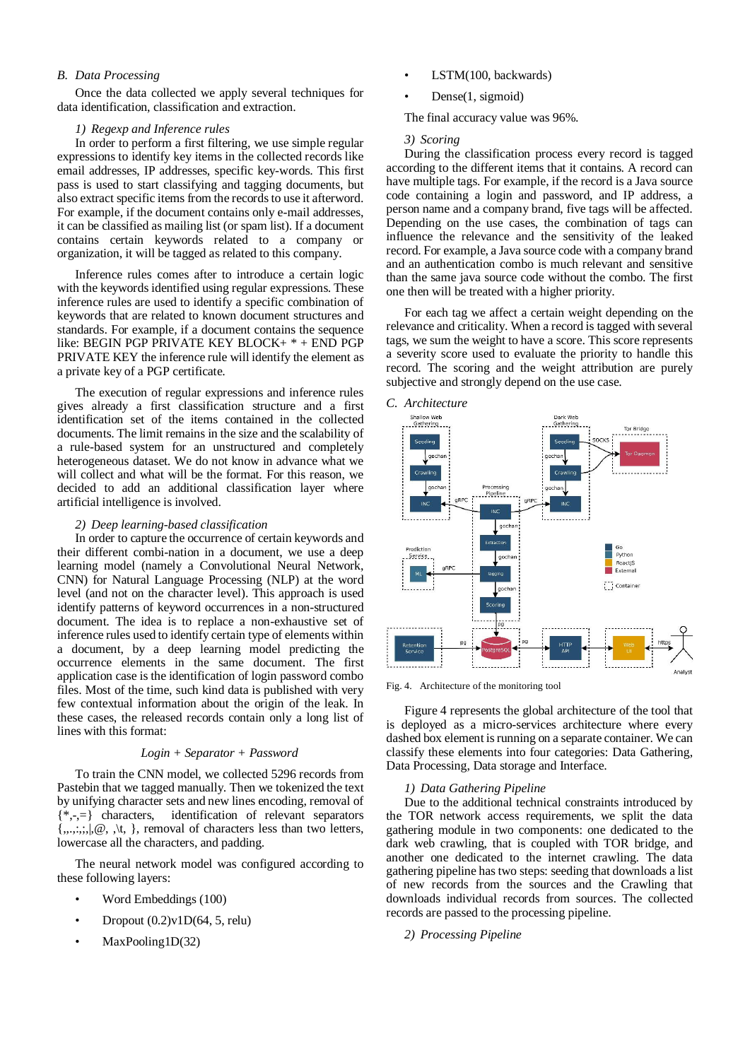# *B. Data Processing*

Once the data collected we apply several techniques for data identification, classification and extraction.

# *1) Regexp and Inference rules*

In order to perform a first filtering, we use simple regular expressions to identify key items in the collected records like email addresses, IP addresses, specific key-words. This first pass is used to start classifying and tagging documents, but also extract specific items from the records to use it afterword. For example, if the document contains only e-mail addresses, it can be classified as mailing list (or spam list). If a document contains certain keywords related to a company or organization, it will be tagged as related to this company.

Inference rules comes after to introduce a certain logic with the keywords identified using regular expressions. These inference rules are used to identify a specific combination of keywords that are related to known document structures and standards. For example, if a document contains the sequence like: BEGIN PGP PRIVATE KEY BLOCK+ \* + END PGP PRIVATE KEY the inference rule will identify the element as a private key of a PGP certificate.

The execution of regular expressions and inference rules gives already a first classification structure and a first identification set of the items contained in the collected documents. The limit remains in the size and the scalability of a rule-based system for an unstructured and completely heterogeneous dataset. We do not know in advance what we will collect and what will be the format. For this reason, we decided to add an additional classification layer where artificial intelligence is involved.

#### *2) Deep learning-based classification*

In order to capture the occurrence of certain keywords and their different combi-nation in a document, we use a deep learning model (namely a Convolutional Neural Network, CNN) for Natural Language Processing (NLP) at the word level (and not on the character level). This approach is used identify patterns of keyword occurrences in a non-structured document. The idea is to replace a non-exhaustive set of inference rules used to identify certain type of elements within a document, by a deep learning model predicting the occurrence elements in the same document. The first application case is the identification of login password combo files. Most of the time, such kind data is published with very few contextual information about the origin of the leak. In these cases, the released records contain only a long list of lines with this format:

## *Login + Separator + Password*

To train the CNN model, we collected 5296 records from Pastebin that we tagged manually. Then we tokenized the text by unifying character sets and new lines encoding, removal of  $\{*,=,\}$  characters, identification of relevant separators  $\{,,\ldots,.,\}$ ,  $\emptyset$ ,  $\setminus$ t,  $\}$ , removal of characters less than two letters, lowercase all the characters, and padding.

The neural network model was configured according to these following layers:

- Word Embeddings (100)
- Dropout  $(0.2)$ v1D $(64, 5,$  relu)
- MaxPooling1D(32)
- LSTM(100, backwards)
- Dense(1, sigmoid)

The final accuracy value was 96%.

#### *3) Scoring*

During the classification process every record is tagged according to the different items that it contains. A record can have multiple tags. For example, if the record is a Java source code containing a login and password, and IP address, a person name and a company brand, five tags will be affected. Depending on the use cases, the combination of tags can influence the relevance and the sensitivity of the leaked record. For example, a Java source code with a company brand and an authentication combo is much relevant and sensitive than the same java source code without the combo. The first one then will be treated with a higher priority.

For each tag we affect a certain weight depending on the relevance and criticality. When a record is tagged with several tags, we sum the weight to have a score. This score represents a severity score used to evaluate the priority to handle this record. The scoring and the weight attribution are purely subjective and strongly depend on the use case.



Fig. 4. Architecture of the monitoring tool

Figure 4 represents the global architecture of the tool that is deployed as a micro-services architecture where every dashed box element is running on a separate container. We can classify these elements into four categories: Data Gathering, Data Processing, Data storage and Interface.

# *1) Data Gathering Pipeline*

Due to the additional technical constraints introduced by the TOR network access requirements, we split the data gathering module in two components: one dedicated to the dark web crawling, that is coupled with TOR bridge, and another one dedicated to the internet crawling. The data gathering pipeline has two steps: seeding that downloads a list of new records from the sources and the Crawling that downloads individual records from sources. The collected records are passed to the processing pipeline.

*2) Processing Pipeline*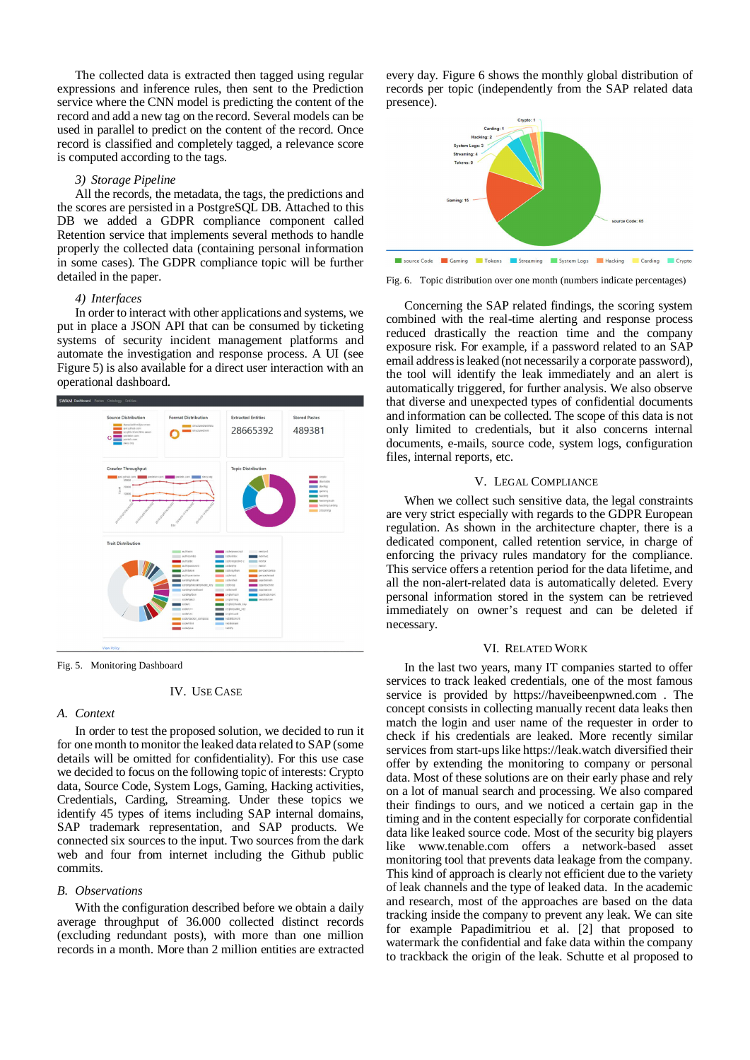The collected data is extracted then tagged using regular expressions and inference rules, then sent to the Prediction service where the CNN model is predicting the content of the record and add a new tag on the record. Several models can be used in parallel to predict on the content of the record. Once record is classified and completely tagged, a relevance score is computed according to the tags.

#### *3) Storage Pipeline*

All the records, the metadata, the tags, the predictions and the scores are persisted in a PostgreSQL DB. Attached to this DB we added a GDPR compliance component called Retention service that implements several methods to handle properly the collected data (containing personal information in some cases). The GDPR compliance topic will be further detailed in the paper.

## *4) Interfaces*

In order to interact with other applications and systems, we put in place a JSON API that can be consumed by ticketing systems of security incident management platforms and automate the investigation and response process. A UI (see Figure 5) is also available for a direct user interaction with an operational dashboard.



Fig. 5. Monitoring Dashboard

#### IV. USE CASE

## *A. Context*

In order to test the proposed solution, we decided to run it for one month to monitor the leaked data related to SAP (some details will be omitted for confidentiality). For this use case we decided to focus on the following topic of interests: Crypto data, Source Code, System Logs, Gaming, Hacking activities, Credentials, Carding, Streaming. Under these topics we identify 45 types of items including SAP internal domains, SAP trademark representation, and SAP products. We connected six sources to the input. Two sources from the dark web and four from internet including the Github public commits.

## *B. Observations*

With the configuration described before we obtain a daily average throughput of 36.000 collected distinct records (excluding redundant posts), with more than one million records in a month. More than 2 million entities are extracted every day. Figure 6 shows the monthly global distribution of records per topic (independently from the SAP related data presence).



Fig. 6. Topic distribution over one month (numbers indicate percentages)

Concerning the SAP related findings, the scoring system combined with the real-time alerting and response process reduced drastically the reaction time and the company exposure risk. For example, if a password related to an SAP email address is leaked (not necessarily a corporate password), the tool will identify the leak immediately and an alert is automatically triggered, for further analysis. We also observe that diverse and unexpected types of confidential documents and information can be collected. The scope of this data is not only limited to credentials, but it also concerns internal documents, e-mails, source code, system logs, configuration files, internal reports, etc.

### V. LEGAL COMPLIANCE

When we collect such sensitive data, the legal constraints are very strict especially with regards to the GDPR European regulation. As shown in the architecture chapter, there is a dedicated component, called retention service, in charge of enforcing the privacy rules mandatory for the compliance. This service offers a retention period for the data lifetime, and all the non-alert-related data is automatically deleted. Every personal information stored in the system can be retrieved immediately on owner's request and can be deleted if necessary.

#### VI. RELATED WORK

In the last two years, many IT companies started to offer services to track leaked credentials, one of the most famous service is provided by https://haveibeenpwned.com . The concept consists in collecting manually recent data leaks then match the login and user name of the requester in order to check if his credentials are leaked. More recently similar services from start-ups like https://leak.watch diversified their offer by extending the monitoring to company or personal data. Most of these solutions are on their early phase and rely on a lot of manual search and processing. We also compared their findings to ours, and we noticed a certain gap in the timing and in the content especially for corporate confidential data like leaked source code. Most of the security big players like www.tenable.com offers a network-based asset monitoring tool that prevents data leakage from the company. This kind of approach is clearly not efficient due to the variety of leak channels and the type of leaked data. In the academic and research, most of the approaches are based on the data tracking inside the company to prevent any leak. We can site for example Papadimitriou et al. [2] that proposed to watermark the confidential and fake data within the company to trackback the origin of the leak. Schutte et al proposed to